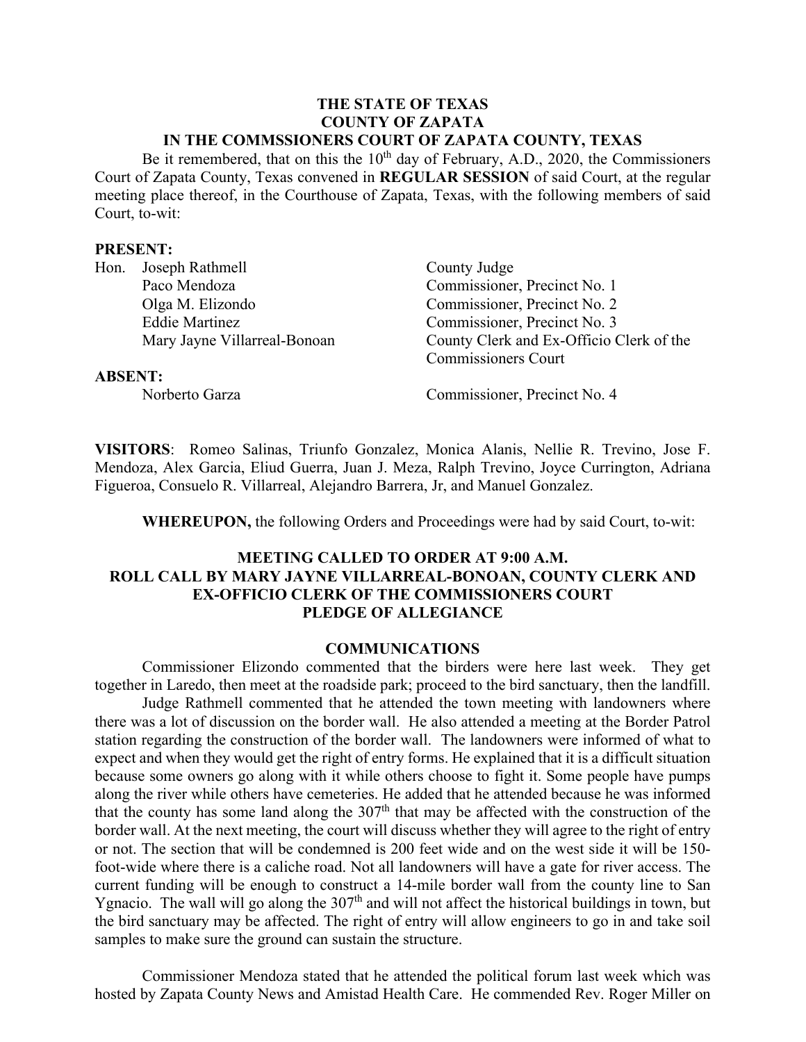#### **THE STATE OF TEXAS COUNTY OF ZAPATA IN THE COMMSSIONERS COURT OF ZAPATA COUNTY, TEXAS**

Be it remembered, that on this the  $10<sup>th</sup>$  day of February, A.D., 2020, the Commissioners Court of Zapata County, Texas convened in **REGULAR SESSION** of said Court, at the regular meeting place thereof, in the Courthouse of Zapata, Texas, with the following members of said Court, to-wit:

#### **PRESENT:**

| Hon.           | Joseph Rathmell              | County Judge                             |
|----------------|------------------------------|------------------------------------------|
|                | Paco Mendoza                 | Commissioner, Precinct No. 1             |
|                | Olga M. Elizondo             | Commissioner, Precinct No. 2             |
|                | <b>Eddie Martinez</b>        | Commissioner, Precinct No. 3             |
|                | Mary Jayne Villarreal-Bonoan | County Clerk and Ex-Officio Clerk of the |
|                |                              | <b>Commissioners Court</b>               |
| <b>ABSENT:</b> |                              |                                          |
|                | Norberto Garza               | Commissioner, Precinct No. 4             |

**VISITORS**: Romeo Salinas, Triunfo Gonzalez, Monica Alanis, Nellie R. Trevino, Jose F. Mendoza, Alex Garcia, Eliud Guerra, Juan J. Meza, Ralph Trevino, Joyce Currington, Adriana Figueroa, Consuelo R. Villarreal, Alejandro Barrera, Jr, and Manuel Gonzalez.

**WHEREUPON,** the following Orders and Proceedings were had by said Court, to-wit:

# **MEETING CALLED TO ORDER AT 9:00 A.M. ROLL CALL BY MARY JAYNE VILLARREAL-BONOAN, COUNTY CLERK AND EX-OFFICIO CLERK OF THE COMMISSIONERS COURT PLEDGE OF ALLEGIANCE**

#### **COMMUNICATIONS**

Commissioner Elizondo commented that the birders were here last week. They get together in Laredo, then meet at the roadside park; proceed to the bird sanctuary, then the landfill.

Judge Rathmell commented that he attended the town meeting with landowners where there was a lot of discussion on the border wall. He also attended a meeting at the Border Patrol station regarding the construction of the border wall. The landowners were informed of what to expect and when they would get the right of entry forms. He explained that it is a difficult situation because some owners go along with it while others choose to fight it. Some people have pumps along the river while others have cemeteries. He added that he attended because he was informed that the county has some land along the  $307<sup>th</sup>$  that may be affected with the construction of the border wall. At the next meeting, the court will discuss whether they will agree to the right of entry or not. The section that will be condemned is 200 feet wide and on the west side it will be 150 foot-wide where there is a caliche road. Not all landowners will have a gate for river access. The current funding will be enough to construct a 14-mile border wall from the county line to San Ygnacio. The wall will go along the  $307<sup>th</sup>$  and will not affect the historical buildings in town, but the bird sanctuary may be affected. The right of entry will allow engineers to go in and take soil samples to make sure the ground can sustain the structure.

Commissioner Mendoza stated that he attended the political forum last week which was hosted by Zapata County News and Amistad Health Care. He commended Rev. Roger Miller on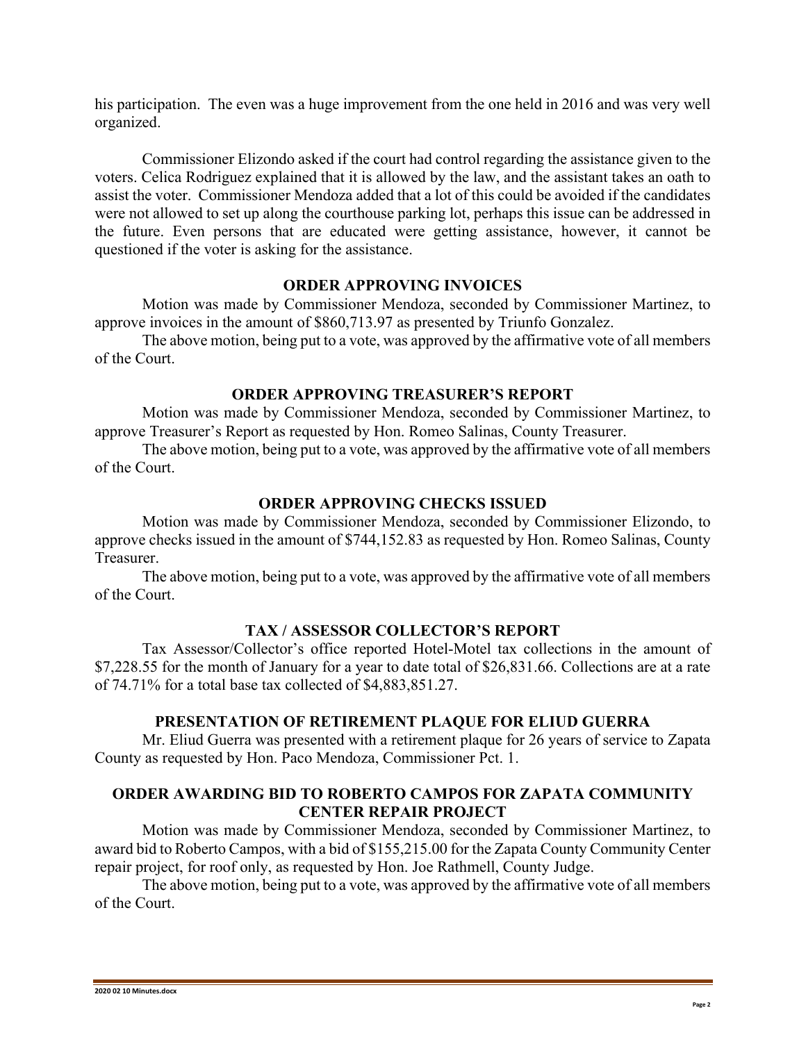his participation. The even was a huge improvement from the one held in 2016 and was very well organized.

Commissioner Elizondo asked if the court had control regarding the assistance given to the voters. Celica Rodriguez explained that it is allowed by the law, and the assistant takes an oath to assist the voter. Commissioner Mendoza added that a lot of this could be avoided if the candidates were not allowed to set up along the courthouse parking lot, perhaps this issue can be addressed in the future. Even persons that are educated were getting assistance, however, it cannot be questioned if the voter is asking for the assistance.

# **ORDER APPROVING INVOICES**

Motion was made by Commissioner Mendoza, seconded by Commissioner Martinez, to approve invoices in the amount of \$860,713.97 as presented by Triunfo Gonzalez.

The above motion, being put to a vote, was approved by the affirmative vote of all members of the Court.

# **ORDER APPROVING TREASURER'S REPORT**

Motion was made by Commissioner Mendoza, seconded by Commissioner Martinez, to approve Treasurer's Report as requested by Hon. Romeo Salinas, County Treasurer.

The above motion, being put to a vote, was approved by the affirmative vote of all members of the Court.

# **ORDER APPROVING CHECKS ISSUED**

Motion was made by Commissioner Mendoza, seconded by Commissioner Elizondo, to approve checks issued in the amount of \$744,152.83 as requested by Hon. Romeo Salinas, County Treasurer.

The above motion, being put to a vote, was approved by the affirmative vote of all members of the Court.

# **TAX / ASSESSOR COLLECTOR'S REPORT**

Tax Assessor/Collector's office reported Hotel-Motel tax collections in the amount of \$7,228.55 for the month of January for a year to date total of \$26,831.66. Collections are at a rate of 74.71% for a total base tax collected of \$4,883,851.27.

#### **PRESENTATION OF RETIREMENT PLAQUE FOR ELIUD GUERRA**

Mr. Eliud Guerra was presented with a retirement plaque for 26 years of service to Zapata County as requested by Hon. Paco Mendoza, Commissioner Pct. 1.

# **ORDER AWARDING BID TO ROBERTO CAMPOS FOR ZAPATA COMMUNITY CENTER REPAIR PROJECT**

Motion was made by Commissioner Mendoza, seconded by Commissioner Martinez, to award bid to Roberto Campos, with a bid of \$155,215.00 for the Zapata County Community Center repair project, for roof only, as requested by Hon. Joe Rathmell, County Judge.

The above motion, being put to a vote, was approved by the affirmative vote of all members of the Court.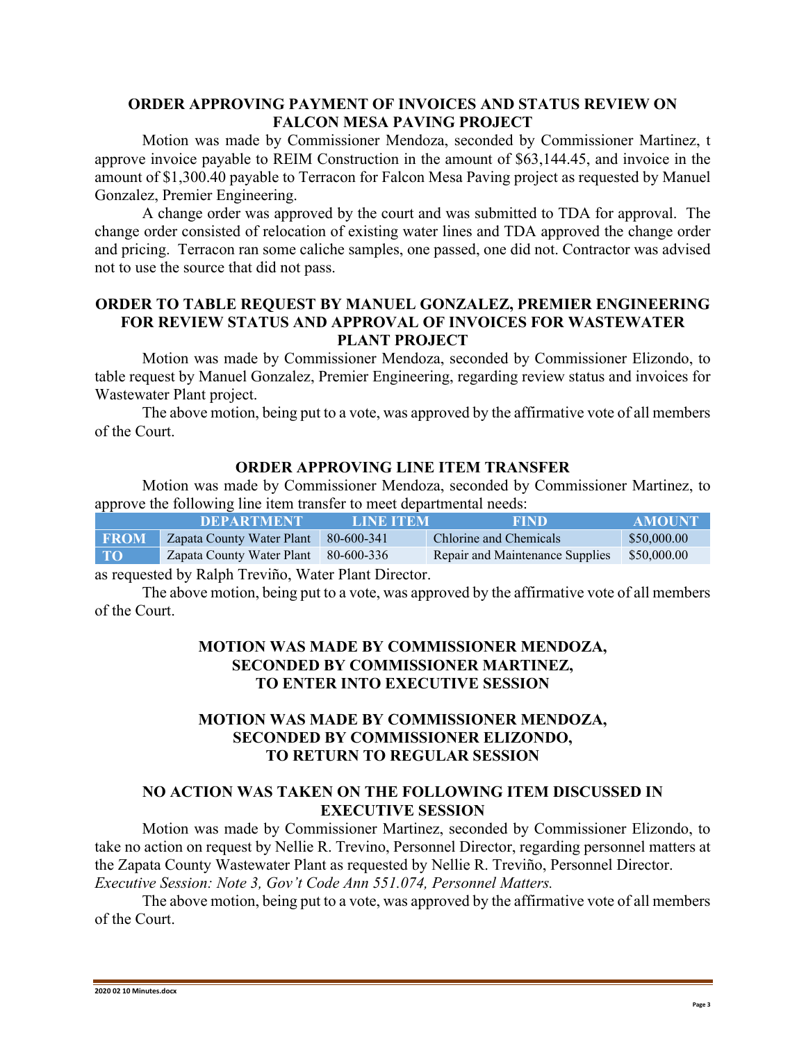#### **ORDER APPROVING PAYMENT OF INVOICES AND STATUS REVIEW ON FALCON MESA PAVING PROJECT**

Motion was made by Commissioner Mendoza, seconded by Commissioner Martinez, t approve invoice payable to REIM Construction in the amount of \$63,144.45, and invoice in the amount of \$1,300.40 payable to Terracon for Falcon Mesa Paving project as requested by Manuel Gonzalez, Premier Engineering.

A change order was approved by the court and was submitted to TDA for approval. The change order consisted of relocation of existing water lines and TDA approved the change order and pricing. Terracon ran some caliche samples, one passed, one did not. Contractor was advised not to use the source that did not pass.

# **ORDER TO TABLE REQUEST BY MANUEL GONZALEZ, PREMIER ENGINEERING FOR REVIEW STATUS AND APPROVAL OF INVOICES FOR WASTEWATER PLANT PROJECT**

Motion was made by Commissioner Mendoza, seconded by Commissioner Elizondo, to table request by Manuel Gonzalez, Premier Engineering, regarding review status and invoices for Wastewater Plant project.

The above motion, being put to a vote, was approved by the affirmative vote of all members of the Court.

# **ORDER APPROVING LINE ITEM TRANSFER**

Motion was made by Commissioner Mendoza, seconded by Commissioner Martinez, to approve the following line item transfer to meet departmental needs:

|             | <b>DEPARTMENT</b>         | LINE ITEM  | <b>FIND</b>                     | <b>AMOUNT</b> |
|-------------|---------------------------|------------|---------------------------------|---------------|
| <b>FROM</b> | Zapata County Water Plant | 80-600-341 | Chlorine and Chemicals          | \$50,000.00   |
| <b>TO</b>   | Zapata County Water Plant | 80-600-336 | Repair and Maintenance Supplies | \$50,000.00   |
|             |                           |            |                                 |               |

as requested by Ralph Treviño, Water Plant Director.

The above motion, being put to a vote, was approved by the affirmative vote of all members of the Court.

# **MOTION WAS MADE BY COMMISSIONER MENDOZA, SECONDED BY COMMISSIONER MARTINEZ, TO ENTER INTO EXECUTIVE SESSION**

# **MOTION WAS MADE BY COMMISSIONER MENDOZA, SECONDED BY COMMISSIONER ELIZONDO, TO RETURN TO REGULAR SESSION**

# **NO ACTION WAS TAKEN ON THE FOLLOWING ITEM DISCUSSED IN EXECUTIVE SESSION**

Motion was made by Commissioner Martinez, seconded by Commissioner Elizondo, to take no action on request by Nellie R. Trevino, Personnel Director, regarding personnel matters at the Zapata County Wastewater Plant as requested by Nellie R. Treviño, Personnel Director. *Executive Session: Note 3, Gov't Code Ann 551.074, Personnel Matters.*

The above motion, being put to a vote, was approved by the affirmative vote of all members of the Court.